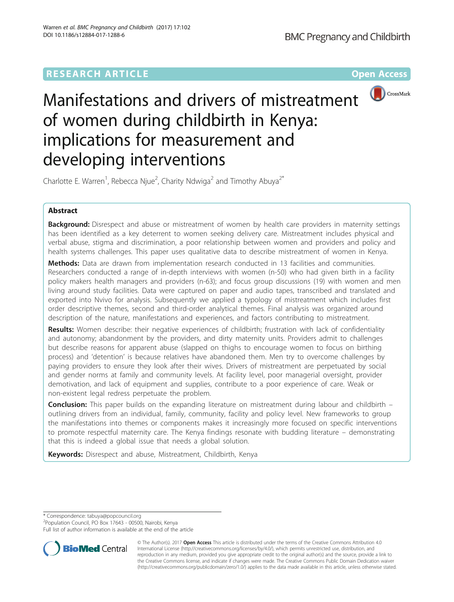## **RESEARCH ARTICLE External Structure Community Community Community Community Community Community Community Community**



# Manifestations and drivers of mistreatment of women during childbirth in Kenya: implications for measurement and developing interventions

Charlotte E. Warren<sup>1</sup>, Rebecca Njue<sup>2</sup>, Charity Ndwiga<sup>2</sup> and Timothy Abuya<sup>2\*</sup>

## Abstract

Background: Disrespect and abuse or mistreatment of women by health care providers in maternity settings has been identified as a key deterrent to women seeking delivery care. Mistreatment includes physical and verbal abuse, stigma and discrimination, a poor relationship between women and providers and policy and health systems challenges. This paper uses qualitative data to describe mistreatment of women in Kenya.

Methods: Data are drawn from implementation research conducted in 13 facilities and communities. Researchers conducted a range of in-depth interviews with women (n-50) who had given birth in a facility policy makers health managers and providers (n-63); and focus group discussions (19) with women and men living around study facilities. Data were captured on paper and audio tapes, transcribed and translated and exported into Nvivo for analysis. Subsequently we applied a typology of mistreatment which includes first order descriptive themes, second and third-order analytical themes. Final analysis was organized around description of the nature, manifestations and experiences, and factors contributing to mistreatment.

Results: Women describe: their negative experiences of childbirth; frustration with lack of confidentiality and autonomy; abandonment by the providers, and dirty maternity units. Providers admit to challenges but describe reasons for apparent abuse (slapped on thighs to encourage women to focus on birthing process) and 'detention' is because relatives have abandoned them. Men try to overcome challenges by paying providers to ensure they look after their wives. Drivers of mistreatment are perpetuated by social and gender norms at family and community levels. At facility level, poor managerial oversight, provider demotivation, and lack of equipment and supplies, contribute to a poor experience of care. Weak or non-existent legal redress perpetuate the problem.

**Conclusion:** This paper builds on the expanding literature on mistreatment during labour and childbirth – outlining drivers from an individual, family, community, facility and policy level. New frameworks to group the manifestations into themes or components makes it increasingly more focused on specific interventions to promote respectful maternity care. The Kenya findings resonate with budding literature – demonstrating that this is indeed a global issue that needs a global solution.

**Keywords:** Disrespect and abuse, Mistreatment, Childbirth, Kenya

\* Correspondence: [tabuya@popcouncil.org](mailto:tabuya@popcouncil.org) <sup>2</sup>

<sup>2</sup>Population Council, PO Box 17643 - 00500, Nairobi, Kenya

Full list of author information is available at the end of the article



© The Author(s). 2017 **Open Access** This article is distributed under the terms of the Creative Commons Attribution 4.0 International License [\(http://creativecommons.org/licenses/by/4.0/](http://creativecommons.org/licenses/by/4.0/)), which permits unrestricted use, distribution, and reproduction in any medium, provided you give appropriate credit to the original author(s) and the source, provide a link to the Creative Commons license, and indicate if changes were made. The Creative Commons Public Domain Dedication waiver [\(http://creativecommons.org/publicdomain/zero/1.0/](http://creativecommons.org/publicdomain/zero/1.0/)) applies to the data made available in this article, unless otherwise stated.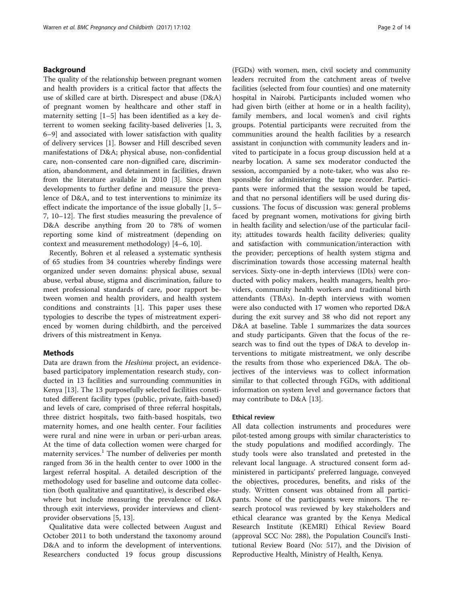## Background

The quality of the relationship between pregnant women and health providers is a critical factor that affects the use of skilled care at birth. Disrespect and abuse (D&A) of pregnant women by healthcare and other staff in maternity setting [\[1](#page-12-0)–[5\]](#page-12-0) has been identified as a key deterrent to women seeking facility-based deliveries [\[1](#page-12-0), [3](#page-12-0), [6](#page-12-0)–[9](#page-12-0)] and associated with lower satisfaction with quality of delivery services [[1\]](#page-12-0). Bowser and Hill described seven manifestations of D&A; physical abuse, non-confidential care, non-consented care non-dignified care, discrimination, abandonment, and detainment in facilities, drawn from the literature available in 2010 [\[3](#page-12-0)]. Since then developments to further define and measure the prevalence of D&A, and to test interventions to minimize its effect indicate the importance of the issue globally [[1, 5](#page-12-0)– [7, 10](#page-12-0)–[12\]](#page-12-0). The first studies measuring the prevalence of D&A describe anything from 20 to 78% of women reporting some kind of mistreatment (depending on context and measurement methodology) [[4](#page-12-0)–[6, 10\]](#page-12-0).

Recently, Bohren et al released a systematic synthesis of 65 studies from 34 countries whereby findings were organized under seven domains: physical abuse, sexual abuse, verbal abuse, stigma and discrimination, failure to meet professional standards of care, poor rapport between women and health providers, and health system conditions and constraints [\[1\]](#page-12-0). This paper uses these typologies to describe the types of mistreatment experienced by women during childbirth, and the perceived drivers of this mistreatment in Kenya.

#### Methods

Data are drawn from the Heshima project, an evidencebased participatory implementation research study, conducted in 13 facilities and surrounding communities in Kenya [[13\]](#page-13-0). The 13 purposefully selected facilities constituted different facility types (public, private, faith-based) and levels of care, comprised of three referral hospitals, three district hospitals, two faith-based hospitals, two maternity homes, and one health center. Four facilities were rural and nine were in urban or peri-urban areas. At the time of data collection women were charged for maternity services.<sup>1</sup> The number of deliveries per month ranged from 36 in the health center to over 1000 in the largest referral hospital. A detailed description of the methodology used for baseline and outcome data collection (both qualitative and quantitative), is described elsewhere but include measuring the prevalence of D&A through exit interviews, provider interviews and clientprovider observations [\[5](#page-12-0), [13](#page-13-0)].

Qualitative data were collected between August and October 2011 to both understand the taxonomy around D&A and to inform the development of interventions. Researchers conducted 19 focus group discussions

(FGDs) with women, men, civil society and community leaders recruited from the catchment areas of twelve facilities (selected from four counties) and one maternity hospital in Nairobi. Participants included women who had given birth (either at home or in a health facility), family members, and local women's and civil rights groups. Potential participants were recruited from the communities around the health facilities by a research assistant in conjunction with community leaders and invited to participate in a focus group discussion held at a nearby location. A same sex moderator conducted the session, accompanied by a note-taker, who was also responsible for administering the tape recorder. Participants were informed that the session would be taped, and that no personal identifiers will be used during discussions. The focus of discussion was: general problems faced by pregnant women, motivations for giving birth in health facility and selection/use of the particular facility; attitudes towards health facility deliveries; quality and satisfaction with communication/interaction with the provider; perceptions of health system stigma and discrimination towards those accessing maternal health services. Sixty-one in-depth interviews (IDIs) were conducted with policy makers, health managers, health providers, community health workers and traditional birth attendants (TBAs). In-depth interviews with women were also conducted with 17 women who reported D&A during the exit survey and 38 who did not report any D&A at baseline. Table [1](#page-2-0) summarizes the data sources and study participants. Given that the focus of the research was to find out the types of D&A to develop interventions to mitigate mistreatment, we only describe the results from those who experienced D&A. The objectives of the interviews was to collect information similar to that collected through FGDs, with additional information on system level and governance factors that may contribute to D&A [[13](#page-13-0)].

#### Ethical review

All data collection instruments and procedures were pilot-tested among groups with similar characteristics to the study populations and modified accordingly. The study tools were also translated and pretested in the relevant local language. A structured consent form administered in participants' preferred language, conveyed the objectives, procedures, benefits, and risks of the study. Written consent was obtained from all participants. None of the participants were minors. The research protocol was reviewed by key stakeholders and ethical clearance was granted by the Kenya Medical Research Institute (KEMRI) Ethical Review Board (approval SCC No: 288), the Population Council's Institutional Review Board (No: 517), and the Division of Reproductive Health, Ministry of Health, Kenya.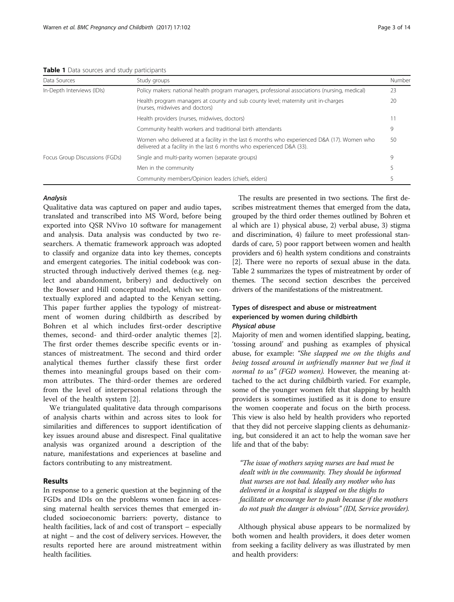<span id="page-2-0"></span>Table 1 Data sources and study participants

| Data Sources                   | Study groups                                                                                                                                                         | Number |
|--------------------------------|----------------------------------------------------------------------------------------------------------------------------------------------------------------------|--------|
| In-Depth Interviews (IDIs)     | Policy makers: national health program managers, professional associations (nursing, medical)                                                                        | 23     |
|                                | Health program managers at county and sub county level; maternity unit in-charges<br>(nurses, midwives and doctors)                                                  | 20     |
|                                | Health providers (nurses, midwives, doctors)                                                                                                                         |        |
|                                | Community health workers and traditional birth attendants                                                                                                            | 9      |
|                                | Women who delivered at a facility in the last 6 months who experienced D&A (17). Women who<br>delivered at a facility in the last 6 months who experienced D&A (33). | 50     |
| Focus Group Discussions (FGDs) | Single and multi-parity women (separate groups)                                                                                                                      | 9      |
|                                | Men in the community                                                                                                                                                 |        |
|                                | Community members/Opinion leaders (chiefs, elders)                                                                                                                   |        |

#### Analysis

Qualitative data was captured on paper and audio tapes, translated and transcribed into MS Word, before being exported into QSR NVivo 10 software for management and analysis. Data analysis was conducted by two researchers. A thematic framework approach was adopted to classify and organize data into key themes, concepts and emergent categories. The initial codebook was constructed through inductively derived themes (e.g. neglect and abandonment, bribery) and deductively on the Bowser and Hill conceptual model, which we contextually explored and adapted to the Kenyan setting. This paper further applies the typology of mistreatment of women during childbirth as described by Bohren et al which includes first-order descriptive themes, second- and third-order analytic themes [\[2](#page-12-0)]. The first order themes describe specific events or instances of mistreatment. The second and third order analytical themes further classify these first order themes into meaningful groups based on their common attributes. The third-order themes are ordered from the level of interpersonal relations through the level of the health system [[2\]](#page-12-0).

We triangulated qualitative data through comparisons of analysis charts within and across sites to look for similarities and differences to support identification of key issues around abuse and disrespect. Final qualitative analysis was organized around a description of the nature, manifestations and experiences at baseline and factors contributing to any mistreatment.

## Results

In response to a generic question at the beginning of the FGDs and IDIs on the problems women face in accessing maternal health services themes that emerged included socioeconomic barriers: poverty, distance to health facilities, lack of and cost of transport – especially at night – and the cost of delivery services. However, the results reported here are around mistreatment within health facilities.

The results are presented in two sections. The first describes mistreatment themes that emerged from the data, grouped by the third order themes outlined by Bohren et al which are 1) physical abuse, 2) verbal abuse, 3) stigma and discrimination, 4) failure to meet professional standards of care, 5) poor rapport between women and health providers and 6) health system conditions and constraints [[2\]](#page-12-0). There were no reports of sexual abuse in the data. Table [2](#page-3-0) summarizes the types of mistreatment by order of themes. The second section describes the perceived drivers of the manifestations of the mistreatment.

## Types of disrespect and abuse or mistreatment experienced by women during childbirth Physical abuse

Majority of men and women identified slapping, beating, 'tossing around' and pushing as examples of physical abuse, for example: "She slapped me on the thighs and being tossed around in unfriendly manner but we find it normal to us" (FGD women). However, the meaning attached to the act during childbirth varied. For example, some of the younger women felt that slapping by health providers is sometimes justified as it is done to ensure the women cooperate and focus on the birth process. This view is also held by health providers who reported that they did not perceive slapping clients as dehumanizing, but considered it an act to help the woman save her life and that of the baby:

"The issue of mothers saying nurses are bad must be dealt with in the community. They should be informed that nurses are not bad. Ideally any mother who has delivered in a hospital is slapped on the thighs to facilitate or encourage her to push because if the mothers do not push the danger is obvious" (IDI, Service provider).

Although physical abuse appears to be normalized by both women and health providers, it does deter women from seeking a facility delivery as was illustrated by men and health providers: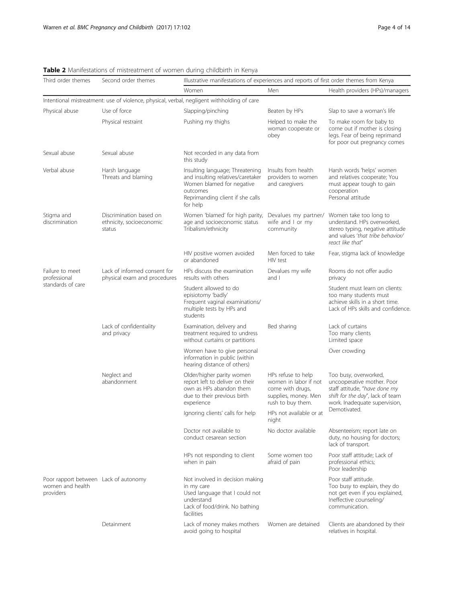<span id="page-3-0"></span>

|  |  | Table 2 Manifestations of mistreatment of women during childbirth in Kenya |  |  |  |
|--|--|----------------------------------------------------------------------------|--|--|--|
|  |  |                                                                            |  |  |  |

| Third order themes                                                     | Second order themes                                                                        | Illustrative manifestations of experiences and reports of first order themes from Kenya                                                                       |                                                                                                              |                                                                                                                                                           |  |  |
|------------------------------------------------------------------------|--------------------------------------------------------------------------------------------|---------------------------------------------------------------------------------------------------------------------------------------------------------------|--------------------------------------------------------------------------------------------------------------|-----------------------------------------------------------------------------------------------------------------------------------------------------------|--|--|
|                                                                        |                                                                                            | Women                                                                                                                                                         | Men                                                                                                          | Health providers (HPs)/managers                                                                                                                           |  |  |
|                                                                        | Intentional mistreatment: use of violence, physical, verbal, negligent withholding of care |                                                                                                                                                               |                                                                                                              |                                                                                                                                                           |  |  |
| Physical abuse                                                         | Use of force                                                                               | Slapping/pinching                                                                                                                                             | Beaten by HPs                                                                                                | Slap to save a woman's life                                                                                                                               |  |  |
|                                                                        | Physical restraint                                                                         | Pushing my thighs                                                                                                                                             | Helped to make the<br>woman cooperate or<br>obey                                                             | To make room for baby to<br>come out if mother is closing<br>legs. Fear of being reprimand<br>for poor out pregnancy comes                                |  |  |
| Sexual abuse                                                           | Sexual abuse                                                                               | Not recorded in any data from<br>this study                                                                                                                   |                                                                                                              |                                                                                                                                                           |  |  |
| Verbal abuse                                                           | Harsh language<br>Threats and blaming                                                      | Insulting language; Threatening<br>and insulting relatives/caretaker<br>Women blamed for negative<br>outcomes<br>Reprimanding client if she calls<br>for help | Insults from health<br>providers to women<br>and caregivers                                                  | Harsh words 'helps' women<br>and relatives cooperate; You<br>must appear tough to gain<br>cooperation<br>Personal attitude                                |  |  |
| Stigma and<br>discrimination                                           | Discrimination based on<br>ethnicity, socioeconomic<br>status                              | Women 'blamed' for high parity,<br>age and socioeconomic status<br>Tribalism/ethnicity                                                                        | Devalues my partner/<br>wife and I or my<br>community                                                        | Women take too long to<br>understand. HPs overworked,<br>stereo typing, negative attitude<br>and values 'that tribe behavior/<br>react like that"         |  |  |
|                                                                        |                                                                                            | HIV positive women avoided<br>or abandoned                                                                                                                    | Men forced to take<br>HIV test                                                                               | Fear, stigma lack of knowledge                                                                                                                            |  |  |
| Failure to meet<br>professional<br>standards of care                   | Lack of informed consent for<br>physical exam and procedures                               | HPs discuss the examination<br>results with others                                                                                                            | Devalues my wife<br>and $\vert$                                                                              | Rooms do not offer audio<br>privacy                                                                                                                       |  |  |
|                                                                        |                                                                                            | Student allowed to do<br>episiotomy 'badly'<br>Frequent vaginal examinations/<br>multiple tests by HPs and<br>students                                        |                                                                                                              | Student must learn on clients:<br>too many students must<br>achieve skills in a short time.<br>Lack of HPs skills and confidence.                         |  |  |
|                                                                        | Lack of confidentiality<br>and privacy                                                     | Examination, delivery and<br>treatment required to undress<br>without curtains or partitions                                                                  | Bed sharing                                                                                                  | Lack of curtains<br>Too many clients<br>Limited space                                                                                                     |  |  |
|                                                                        |                                                                                            | Women have to give personal<br>information in public (within<br>hearing distance of others)                                                                   |                                                                                                              | Over crowding                                                                                                                                             |  |  |
|                                                                        | Neglect and<br>abandonment                                                                 | Older/higher parity women<br>report left to deliver on their<br>own as HPs abandon them<br>due to their previous birth<br>experience                          | HPs refuse to help<br>women in labor if not<br>come with drugs,<br>supplies, money. Men<br>rush to buy them. | Too busy, overworked,<br>uncooperative mother. Poor<br>staff attitude, "have done my<br>shift for the day", lack of team<br>work. Inadequate supervision, |  |  |
|                                                                        |                                                                                            | Ignoring clients' calls for help                                                                                                                              | HPs not available or at<br>night                                                                             | Demotivated.                                                                                                                                              |  |  |
|                                                                        |                                                                                            | Doctor not available to<br>conduct cesarean section                                                                                                           | No doctor available                                                                                          | Absenteeism; report late on<br>duty, no housing for doctors;<br>lack of transport.                                                                        |  |  |
|                                                                        |                                                                                            | HPs not responding to client<br>when in pain                                                                                                                  | Some women too<br>afraid of pain                                                                             | Poor staff attitude; Lack of<br>professional ethics;<br>Poor leadership                                                                                   |  |  |
| Poor rapport between Lack of autonomy<br>women and health<br>providers |                                                                                            | Not involved in decision making<br>in my care<br>Used language that I could not<br>understand<br>Lack of food/drink. No bathing<br>facilities                 |                                                                                                              | Poor staff attitude.<br>Too busy to explain, they do<br>not get even if you explained,<br>Ineffective counseling/<br>communication.                       |  |  |
|                                                                        | Detainment                                                                                 | Lack of money makes mothers<br>avoid going to hospital                                                                                                        | Women are detained                                                                                           | Clients are abandoned by their<br>relatives in hospital.                                                                                                  |  |  |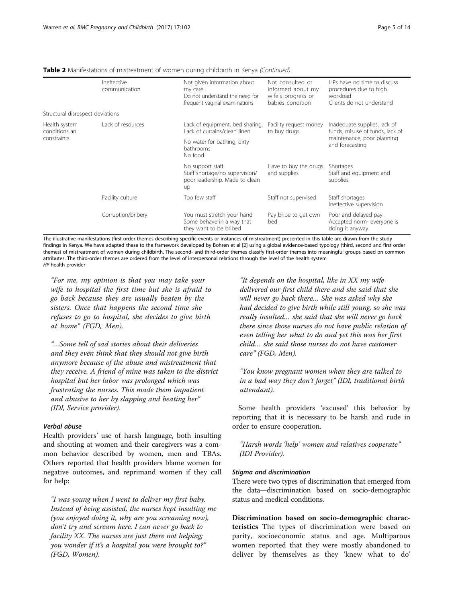| <b>Table 2</b> Manifestations of mistreatment of women during childbirth in Kenya (Continued) |  |  |  |
|-----------------------------------------------------------------------------------------------|--|--|--|
|                                                                                               |  |  |  |

|                                               | Ineffective<br>communication | Not given information about<br>my care<br>Do not understand the need for<br>frequent vaginal examinations | Not consulted or<br>informed about my<br>wife's progress or<br>babies condition | HPs have no time to discuss<br>procedures due to high<br>workload<br>Clients do not understand                   |  |
|-----------------------------------------------|------------------------------|-----------------------------------------------------------------------------------------------------------|---------------------------------------------------------------------------------|------------------------------------------------------------------------------------------------------------------|--|
| Structural disrespect deviations              |                              |                                                                                                           |                                                                                 |                                                                                                                  |  |
| Health system<br>conditions an<br>constraints | Lack of resources            | Lack of equipment. bed sharing,<br>Lack of curtains/clean linen                                           | Facility request money<br>to buy drugs                                          | Inadequate supplies, lack of<br>funds, misuse of funds, lack of<br>maintenance, poor planning<br>and forecasting |  |
|                                               |                              | No water for bathing, dirty<br>bathrooms<br>No food                                                       |                                                                                 |                                                                                                                  |  |
|                                               |                              | No support staff<br>Staff shortage/no supervision/<br>poor leadership. Made to clean<br>up                | Have to buy the drugs<br>and supplies                                           | Shortages<br>Staff and equipment and<br>supplies                                                                 |  |
|                                               | Facility culture             | Too few staff                                                                                             | Staff not supervised                                                            | Staff shortages<br>Ineffective supervision                                                                       |  |
|                                               | Corruption/bribery           | You must stretch your hand<br>Some behave in a way that<br>they want to be bribed                         | Pay bribe to get own<br>bed                                                     | Poor and delayed pay.<br>Accepted norm- everyone is<br>doing it anyway                                           |  |

The illustrative manifestations (first-order themes describing specific events or instances of mistreatment) presented in this table are drawn from the study findings in Kenya. We have adapted these to the framework developed by Bohren et al [[2](#page-12-0)] using a global evidence-based typology (third, second and first order themes) of mistreatment of women during childbirth. The second- and third-order themes classify first-order themes into meaningful groups based on common attributes. The third-order themes are ordered from the level of interpersonal relations through the level of the health system HP health provider

"For me, my opinion is that you may take your wife to hospital the first time but she is afraid to go back because they are usually beaten by the sisters. Once that happens the second time she refuses to go to hospital, she decides to give birth at home" (FGD, Men).

"…Some tell of sad stories about their deliveries and they even think that they should not give birth anymore because of the abuse and mistreatment that they receive. A friend of mine was taken to the district hospital but her labor was prolonged which was frustrating the nurses. This made them impatient and abusive to her by slapping and beating her" (IDI, Service provider).

#### Verbal abuse

Health providers' use of harsh language, both insulting and shouting at women and their caregivers was a common behavior described by women, men and TBAs. Others reported that health providers blame women for negative outcomes, and reprimand women if they call for help:

"I was young when I went to deliver my first baby. Instead of being assisted, the nurses kept insulting me (you enjoyed doing it, why are you screaming now), don't try and scream here. I can never go back to facility XX. The nurses are just there not helping; you wonder if it's a hospital you were brought to?" (FGD, Women).

"It depends on the hospital, like in XX my wife delivered our first child there and she said that she will never go back there… She was asked why she had decided to give birth while still young, so she was really insulted… she said that she will never go back there since those nurses do not have public relation of even telling her what to do and yet this was her first child… she said those nurses do not have customer care" (FGD, Men).

"You know pregnant women when they are talked to in a bad way they don't forget" (IDI, traditional birth attendant).

Some health providers 'excused' this behavior by reporting that it is necessary to be harsh and rude in order to ensure cooperation.

"Harsh words 'help' women and relatives cooperate" (IDI Provider).

#### Stigma and discrimination

There were two types of discrimination that emerged from the data—discrimination based on socio-demographic status and medical conditions.

Discrimination based on socio-demographic characteristics The types of discrimination were based on parity, socioeconomic status and age. Multiparous women reported that they were mostly abandoned to deliver by themselves as they 'knew what to do'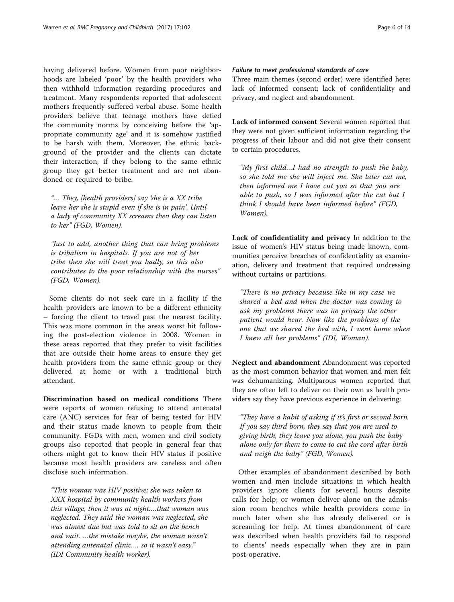having delivered before. Women from poor neighborhoods are labeled 'poor' by the health providers who then withhold information regarding procedures and treatment. Many respondents reported that adolescent mothers frequently suffered verbal abuse. Some health providers believe that teenage mothers have defied the community norms by conceiving before the 'appropriate community age' and it is somehow justified to be harsh with them. Moreover, the ethnic background of the provider and the clients can dictate their interaction; if they belong to the same ethnic group they get better treatment and are not abandoned or required to bribe.

"… They, [health providers] say 'she is a XX tribe leave her she is stupid even if she is in pain'. Until a lady of community XX screams then they can listen to her" (FGD, Women).

"Just to add, another thing that can bring problems is tribalism in hospitals. If you are not of her tribe then she will treat you badly, so this also contributes to the poor relationship with the nurses" (FGD, Women).

Some clients do not seek care in a facility if the health providers are known to be a different ethnicity – forcing the client to travel past the nearest facility. This was more common in the areas worst hit following the post-election violence in 2008. Women in these areas reported that they prefer to visit facilities that are outside their home areas to ensure they get health providers from the same ethnic group or they delivered at home or with a traditional birth attendant.

Discrimination based on medical conditions There were reports of women refusing to attend antenatal care (ANC) services for fear of being tested for HIV and their status made known to people from their community. FGDs with men, women and civil society groups also reported that people in general fear that others might get to know their HIV status if positive because most health providers are careless and often disclose such information.

"This woman was HIV positive; she was taken to XXX hospital by community health workers from this village, then it was at night….that woman was neglected. They said the woman was neglected, she was almost due but was told to sit on the bench and wait. …the mistake maybe, the woman wasn't attending antenatal clinic…. so it wasn't easy." (IDI Community health worker).

## Failure to meet professional standards of care

Three main themes (second order) were identified here: lack of informed consent; lack of confidentiality and privacy, and neglect and abandonment.

Lack of informed consent Several women reported that they were not given sufficient information regarding the progress of their labour and did not give their consent to certain procedures.

"My first child…I had no strength to push the baby, so she told me she will inject me. She later cut me, then informed me I have cut you so that you are able to push, so I was informed after the cut but I think I should have been informed before" (FGD, Women).

Lack of confidentiality and privacy In addition to the issue of women's HIV status being made known, communities perceive breaches of confidentiality as examination, delivery and treatment that required undressing without curtains or partitions.

"There is no privacy because like in my case we shared a bed and when the doctor was coming to ask my problems there was no privacy the other patient would hear. Now like the problems of the one that we shared the bed with, I went home when I knew all her problems" (IDI, Woman).

Neglect and abandonment Abandonment was reported as the most common behavior that women and men felt was dehumanizing. Multiparous women reported that they are often left to deliver on their own as health providers say they have previous experience in delivering:

"They have a habit of asking if it's first or second born. If you say third born, they say that you are used to giving birth, they leave you alone, you push the baby alone only for them to come to cut the cord after birth and weigh the baby" (FGD, Women).

Other examples of abandonment described by both women and men include situations in which health providers ignore clients for several hours despite calls for help; or women deliver alone on the admission room benches while health providers come in much later when she has already delivered or is screaming for help. At times abandonment of care was described when health providers fail to respond to clients' needs especially when they are in pain post-operative.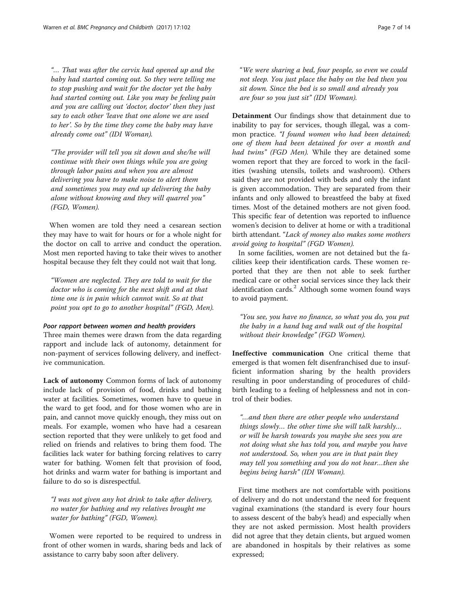"… That was after the cervix had opened up and the baby had started coming out. So they were telling me to stop pushing and wait for the doctor yet the baby had started coming out. Like you may be feeling pain and you are calling out 'doctor, doctor' then they just say to each other 'leave that one alone we are used to her'. So by the time they come the baby may have already come out" (IDI Woman).

"The provider will tell you sit down and she/he will continue with their own things while you are going through labor pains and when you are almost delivering you have to make noise to alert them and sometimes you may end up delivering the baby alone without knowing and they will quarrel you" (FGD, Women).

When women are told they need a cesarean section they may have to wait for hours or for a whole night for the doctor on call to arrive and conduct the operation. Most men reported having to take their wives to another hospital because they felt they could not wait that long.

"Women are neglected. They are told to wait for the doctor who is coming for the next shift and at that time one is in pain which cannot wait. So at that point you opt to go to another hospital" (FGD, Men).

#### Poor rapport between women and health providers

Three main themes were drawn from the data regarding rapport and include lack of autonomy, detainment for non-payment of services following delivery, and ineffective communication.

Lack of autonomy Common forms of lack of autonomy include lack of provision of food, drinks and bathing water at facilities. Sometimes, women have to queue in the ward to get food, and for those women who are in pain, and cannot move quickly enough, they miss out on meals. For example, women who have had a cesarean section reported that they were unlikely to get food and relied on friends and relatives to bring them food. The facilities lack water for bathing forcing relatives to carry water for bathing. Women felt that provision of food, hot drinks and warm water for bathing is important and failure to do so is disrespectful.

"I was not given any hot drink to take after delivery, no water for bathing and my relatives brought me water for bathing" (FGD, Women).

Women were reported to be required to undress in front of other women in wards, sharing beds and lack of assistance to carry baby soon after delivery.

"We were sharing a bed, four people, so even we could not sleep. You just place the baby on the bed then you sit down. Since the bed is so small and already you are four so you just sit" (IDI Woman).

Detainment Our findings show that detainment due to inability to pay for services, though illegal, was a common practice. "I found women who had been detained; one of them had been detained for over a month and had twins" (FGD Men). While they are detained some women report that they are forced to work in the facilities (washing utensils, toilets and washroom). Others said they are not provided with beds and only the infant is given accommodation. They are separated from their infants and only allowed to breastfeed the baby at fixed times. Most of the detained mothers are not given food. This specific fear of detention was reported to influence women's decision to deliver at home or with a traditional birth attendant. "Lack of money also makes some mothers avoid going to hospital" (FGD Women).

In some facilities, women are not detained but the facilities keep their identification cards. These women reported that they are then not able to seek further medical care or other social services since they lack their identification cards.<sup>2</sup> Although some women found ways to avoid payment.

"You see, you have no finance, so what you do, you put the baby in a hand bag and walk out of the hospital without their knowledge" (FGD Women).

Ineffective communication One critical theme that emerged is that women felt disenfranchised due to insufficient information sharing by the health providers resulting in poor understanding of procedures of childbirth leading to a feeling of helplessness and not in control of their bodies.

"…and then there are other people who understand things slowly… the other time she will talk harshly… or will be harsh towards you maybe she sees you are not doing what she has told you, and maybe you have not understood. So, when you are in that pain they may tell you something and you do not hear…then she begins being harsh" (IDI Woman).

First time mothers are not comfortable with positions of delivery and do not understand the need for frequent vaginal examinations (the standard is every four hours to assess descent of the baby's head) and especially when they are not asked permission. Most health providers did not agree that they detain clients, but argued women are abandoned in hospitals by their relatives as some expressed;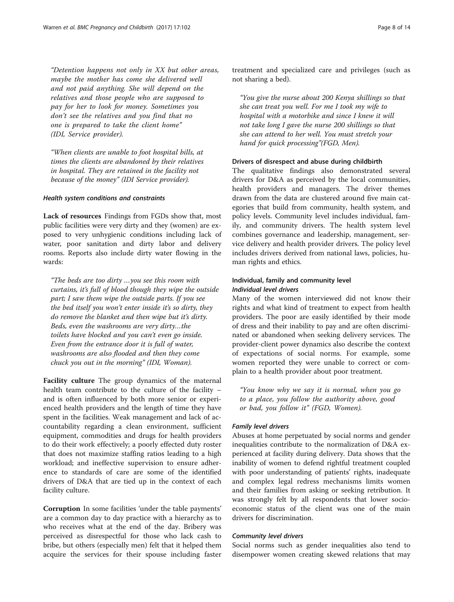"Detention happens not only in XX but other areas, maybe the mother has come she delivered well and not paid anything. She will depend on the relatives and those people who are supposed to pay for her to look for money. Sometimes you don't see the relatives and you find that no one is prepared to take the client home" (IDI, Service provider).

"When clients are unable to foot hospital bills, at times the clients are abandoned by their relatives in hospital. They are retained in the facility not because of the money" (IDI Service provider).

#### Health system conditions and constraints

Lack of resources Findings from FGDs show that, most public facilities were very dirty and they (women) are exposed to very unhygienic conditions including lack of water, poor sanitation and dirty labor and delivery rooms. Reports also include dirty water flowing in the wards:

"The beds are too dirty …you see this room with curtains, it's full of blood though they wipe the outside part; I saw them wipe the outside parts. If you see the bed itself you won't enter inside it's so dirty, they do remove the blanket and then wipe but it's dirty. Beds, even the washrooms are very dirty…the toilets have blocked and you can't even go inside. Even from the entrance door it is full of water, washrooms are also flooded and then they come chuck you out in the morning" (IDI, Woman).

Facility culture The group dynamics of the maternal health team contribute to the culture of the facility – and is often influenced by both more senior or experienced health providers and the length of time they have spent in the facilities. Weak management and lack of accountability regarding a clean environment, sufficient equipment, commodities and drugs for health providers to do their work effectively; a poorly effected duty roster that does not maximize staffing ratios leading to a high workload; and ineffective supervision to ensure adherence to standards of care are some of the identified drivers of D&A that are tied up in the context of each facility culture.

Corruption In some facilities 'under the table payments' are a common day to day practice with a hierarchy as to who receives what at the end of the day. Bribery was perceived as disrespectful for those who lack cash to bribe, but others (especially men) felt that it helped them acquire the services for their spouse including faster

treatment and specialized care and privileges (such as not sharing a bed).

"You give the nurse about 200 Kenya shillings so that she can treat you well. For me I took my wife to hospital with a motorbike and since I knew it will not take long I gave the nurse 200 shillings so that she can attend to her well. You must stretch your hand for quick processing"(FGD, Men).

#### Drivers of disrespect and abuse during childbirth

The qualitative findings also demonstrated several drivers for D&A as perceived by the local communities, health providers and managers. The driver themes drawn from the data are clustered around five main categories that build from community, health system, and policy levels. Community level includes individual, family, and community drivers. The health system level combines governance and leadership, management, service delivery and health provider drivers. The policy level includes drivers derived from national laws, policies, human rights and ethics.

## Individual, family and community level Individual level drivers

Many of the women interviewed did not know their rights and what kind of treatment to expect from health providers. The poor are easily identified by their mode of dress and their inability to pay and are often discriminated or abandoned when seeking delivery services. The provider-client power dynamics also describe the context of expectations of social norms. For example, some women reported they were unable to correct or complain to a health provider about poor treatment.

"You know why we say it is normal, when you go to a place, you follow the authority above, good or bad, you follow it" (FGD, Women).

#### Family level drivers

Abuses at home perpetuated by social norms and gender inequalities contribute to the normalization of D&A experienced at facility during delivery. Data shows that the inability of women to defend rightful treatment coupled with poor understanding of patients' rights, inadequate and complex legal redress mechanisms limits women and their families from asking or seeking retribution. It was strongly felt by all respondents that lower socioeconomic status of the client was one of the main drivers for discrimination.

#### Community level drivers

Social norms such as gender inequalities also tend to disempower women creating skewed relations that may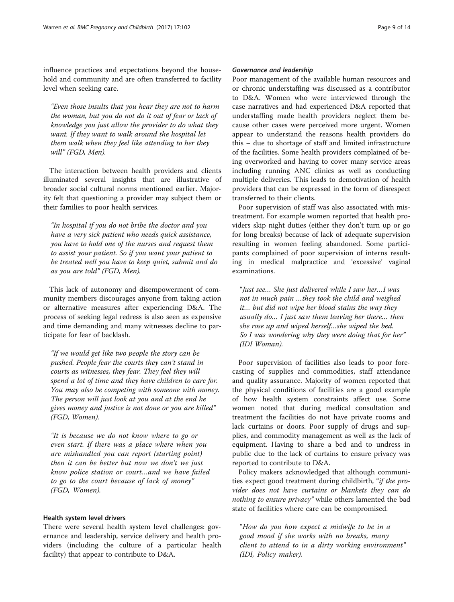influence practices and expectations beyond the household and community and are often transferred to facility level when seeking care.

"Even those insults that you hear they are not to harm the woman, but you do not do it out of fear or lack of knowledge you just allow the provider to do what they want. If they want to walk around the hospital let them walk when they feel like attending to her they will" (FGD, Men).

The interaction between health providers and clients illuminated several insights that are illustrative of broader social cultural norms mentioned earlier. Majority felt that questioning a provider may subject them or their families to poor health services.

"In hospital if you do not bribe the doctor and you have a very sick patient who needs quick assistance, you have to hold one of the nurses and request them to assist your patient. So if you want your patient to be treated well you have to keep quiet, submit and do as you are told" (FGD, Men).

This lack of autonomy and disempowerment of community members discourages anyone from taking action or alternative measures after experiencing D&A. The process of seeking legal redress is also seen as expensive and time demanding and many witnesses decline to participate for fear of backlash.

"If we would get like two people the story can be pushed. People fear the courts they can't stand in courts as witnesses, they fear. They feel they will spend a lot of time and they have children to care for. You may also be competing with someone with money. The person will just look at you and at the end he gives money and justice is not done or you are killed" (FGD, Women).

"It is because we do not know where to go or even start. If there was a place where when you are mishandled you can report (starting point) then it can be better but now we don't we just know police station or court…and we have failed to go to the court because of lack of money" (FGD, Women).

## Health system level drivers

There were several health system level challenges: governance and leadership, service delivery and health providers (including the culture of a particular health facility) that appear to contribute to D&A.

## Governance and leadership

Poor management of the available human resources and or chronic understaffing was discussed as a contributor to D&A. Women who were interviewed through the case narratives and had experienced D&A reported that understaffing made health providers neglect them because other cases were perceived more urgent. Women appear to understand the reasons health providers do this – due to shortage of staff and limited infrastructure of the facilities. Some health providers complained of being overworked and having to cover many service areas including running ANC clinics as well as conducting multiple deliveries. This leads to demotivation of health providers that can be expressed in the form of disrespect transferred to their clients.

Poor supervision of staff was also associated with mistreatment. For example women reported that health providers skip night duties (either they don't turn up or go for long breaks) because of lack of adequate supervision resulting in women feeling abandoned. Some participants complained of poor supervision of interns resulting in medical malpractice and 'excessive' vaginal examinations.

"Just see… She just delivered while I saw her…I was not in much pain …they took the child and weighed it… but did not wipe her blood stains the way they usually do… I just saw them leaving her there… then she rose up and wiped herself…she wiped the bed. So I was wondering why they were doing that for her" (IDI Woman).

Poor supervision of facilities also leads to poor forecasting of supplies and commodities, staff attendance and quality assurance. Majority of women reported that the physical conditions of facilities are a good example of how health system constraints affect use. Some women noted that during medical consultation and treatment the facilities do not have private rooms and lack curtains or doors. Poor supply of drugs and supplies, and commodity management as well as the lack of equipment. Having to share a bed and to undress in public due to the lack of curtains to ensure privacy was reported to contribute to D&A.

Policy makers acknowledged that although communities expect good treatment during childbirth, "if the provider does not have curtains or blankets they can do nothing to ensure privacy" while others lamented the bad state of facilities where care can be compromised.

"How do you how expect a midwife to be in a good mood if she works with no breaks, many client to attend to in a dirty working environment" (IDI, Policy maker).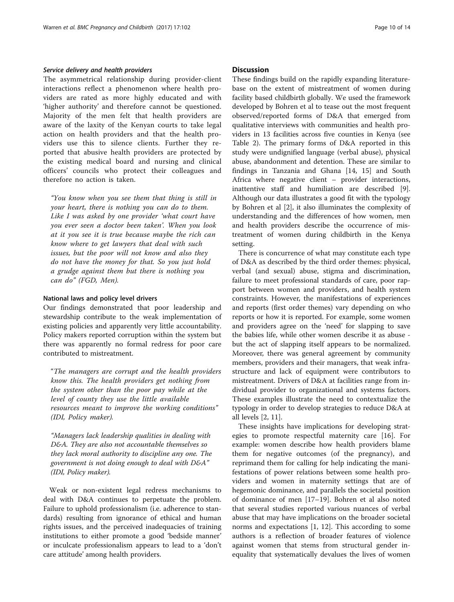#### Service delivery and health providers

The asymmetrical relationship during provider-client interactions reflect a phenomenon where health providers are rated as more highly educated and with 'higher authority' and therefore cannot be questioned. Majority of the men felt that health providers are aware of the laxity of the Kenyan courts to take legal action on health providers and that the health providers use this to silence clients. Further they reported that abusive health providers are protected by the existing medical board and nursing and clinical officers' councils who protect their colleagues and therefore no action is taken.

"You know when you see them that thing is still in your heart, there is nothing you can do to them. Like I was asked by one provider 'what court have you ever seen a doctor been taken'. When you look at it you see it is true because maybe the rich can know where to get lawyers that deal with such issues, but the poor will not know and also they do not have the money for that. So you just hold a grudge against them but there is nothing you can do" (FGD, Men).

#### National laws and policy level drivers

Our findings demonstrated that poor leadership and stewardship contribute to the weak implementation of existing policies and apparently very little accountability. Policy makers reported corruption within the system but there was apparently no formal redress for poor care contributed to mistreatment.

"The managers are corrupt and the health providers know this. The health providers get nothing from the system other than the poor pay while at the level of county they use the little available resources meant to improve the working conditions" (IDI, Policy maker).

"Managers lack leadership qualities in dealing with D&A. They are also not accountable themselves so they lack moral authority to discipline any one. The government is not doing enough to deal with D&A" (IDI, Policy maker).

Weak or non-existent legal redress mechanisms to deal with D&A continues to perpetuate the problem. Failure to uphold professionalism (i.e. adherence to standards) resulting from ignorance of ethical and human rights issues, and the perceived inadequacies of training institutions to either promote a good 'bedside manner' or inculcate professionalism appears to lead to a 'don't care attitude' among health providers.

## **Discussion**

These findings build on the rapidly expanding literaturebase on the extent of mistreatment of women during facility based childbirth globally. We used the framework developed by Bohren et al to tease out the most frequent observed/reported forms of D&A that emerged from qualitative interviews with communities and health providers in 13 facilities across five counties in Kenya (see Table [2](#page-3-0)). The primary forms of D&A reported in this study were undignified language (verbal abuse), physical abuse, abandonment and detention. These are similar to findings in Tanzania and Ghana [[14, 15](#page-13-0)] and South Africa where negative client – provider interactions, inattentive staff and humiliation are described [\[9](#page-12-0)]. Although our data illustrates a good fit with the typology by Bohren et al [\[2](#page-12-0)], it also illuminates the complexity of understanding and the differences of how women, men and health providers describe the occurrence of mistreatment of women during childbirth in the Kenya setting.

There is concurrence of what may constitute each type of D&A as described by the third order themes: physical, verbal (and sexual) abuse, stigma and discrimination, failure to meet professional standards of care, poor rapport between women and providers, and health system constraints. However, the manifestations of experiences and reports (first order themes) vary depending on who reports or how it is reported. For example, some women and providers agree on the 'need' for slapping to save the babies life, while other women describe it as abuse but the act of slapping itself appears to be normalized. Moreover, there was general agreement by community members, providers and their managers, that weak infrastructure and lack of equipment were contributors to mistreatment. Drivers of D&A at facilities range from individual provider to organizational and systems factors. These examples illustrate the need to contextualize the typology in order to develop strategies to reduce D&A at all levels [[2](#page-12-0), [11](#page-12-0)].

These insights have implications for developing strategies to promote respectful maternity care [\[16](#page-13-0)]. For example: women describe how health providers blame them for negative outcomes (of the pregnancy), and reprimand them for calling for help indicating the manifestations of power relations between some health providers and women in maternity settings that are of hegemonic dominance, and parallels the societal position of dominance of men [[17](#page-13-0)–[19](#page-13-0)]. Bohren et al also noted that several studies reported various nuances of verbal abuse that may have implications on the broader societal norms and expectations [[1, 12](#page-12-0)]. This according to some authors is a reflection of broader features of violence against women that stems from structural gender inequality that systematically devalues the lives of women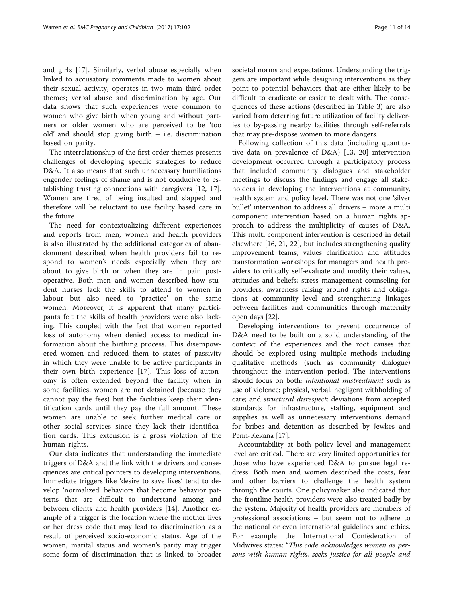and girls [\[17](#page-13-0)]. Similarly, verbal abuse especially when linked to accusatory comments made to women about their sexual activity, operates in two main third order themes; verbal abuse and discrimination by age. Our data shows that such experiences were common to women who give birth when young and without partners or older women who are perceived to be 'too old' and should stop giving birth – i.e. discrimination based on parity.

The interrelationship of the first order themes presents challenges of developing specific strategies to reduce D&A. It also means that such unnecessary humiliations engender feelings of shame and is not conducive to establishing trusting connections with caregivers [\[12](#page-12-0), [17](#page-13-0)]. Women are tired of being insulted and slapped and therefore will be reluctant to use facility based care in the future.

The need for contextualizing different experiences and reports from men, women and health providers is also illustrated by the additional categories of abandonment described when health providers fail to respond to women's needs especially when they are about to give birth or when they are in pain postoperative. Both men and women described how student nurses lack the skills to attend to women in labour but also need to 'practice' on the same women. Moreover, it is apparent that many participants felt the skills of health providers were also lacking. This coupled with the fact that women reported loss of autonomy when denied access to medical information about the birthing process. This disempowered women and reduced them to states of passivity in which they were unable to be active participants in their own birth experience [[17\]](#page-13-0). This loss of autonomy is often extended beyond the facility when in some facilities, women are not detained (because they cannot pay the fees) but the facilities keep their identification cards until they pay the full amount. These women are unable to seek further medical care or other social services since they lack their identification cards. This extension is a gross violation of the human rights.

Our data indicates that understanding the immediate triggers of D&A and the link with the drivers and consequences are critical pointers to developing interventions. Immediate triggers like 'desire to save lives' tend to develop 'normalized' behaviors that become behavior patterns that are difficult to understand among and between clients and health providers [[14\]](#page-13-0). Another example of a trigger is the location where the mother lives or her dress code that may lead to discrimination as a result of perceived socio-economic status. Age of the women, marital status and women's parity may trigger some form of discrimination that is linked to broader societal norms and expectations. Understanding the triggers are important while designing interventions as they point to potential behaviors that are either likely to be difficult to eradicate or easier to dealt with. The consequences of these actions (described in Table [3](#page-11-0)) are also varied from deterring future utilization of facility deliveries to by-passing nearby facilities through self-referrals that may pre-dispose women to more dangers.

Following collection of this data (including quantitative data on prevalence of D&A) [\[13, 20\]](#page-13-0) intervention development occurred through a participatory process that included community dialogues and stakeholder meetings to discuss the findings and engage all stakeholders in developing the interventions at community, health system and policy level. There was not one 'silver bullet' intervention to address all drivers – more a multi component intervention based on a human rights approach to address the multiplicity of causes of D&A. This multi component intervention is described in detail elsewhere [[16](#page-13-0), [21](#page-13-0), [22](#page-13-0)], but includes strengthening quality improvement teams, values clarification and attitudes transformation workshops for managers and health providers to critically self-evaluate and modify their values, attitudes and beliefs; stress management counseling for providers; awareness raising around rights and obligations at community level and strengthening linkages between facilities and communities through maternity open days [[22\]](#page-13-0).

Developing interventions to prevent occurrence of D&A need to be built on a solid understanding of the context of the experiences and the root causes that should be explored using multiple methods including qualitative methods (such as community dialogue) throughout the intervention period. The interventions should focus on both: intentional mistreatment such as use of violence: physical, verbal, negligent withholding of care; and structural disrespect: deviations from accepted standards for infrastructure, staffing, equipment and supplies as well as unnecessary interventions demand for bribes and detention as described by Jewkes and Penn-Kekana [\[17](#page-13-0)].

Accountability at both policy level and management level are critical. There are very limited opportunities for those who have experienced D&A to pursue legal redress. Both men and women described the costs, fear and other barriers to challenge the health system through the courts. One policymaker also indicated that the frontline health providers were also treated badly by the system. Majority of health providers are members of professional associations – but seem not to adhere to the national or even international guidelines and ethics. For example the International Confederation of Midwives states: "This code acknowledges women as persons with human rights, seeks justice for all people and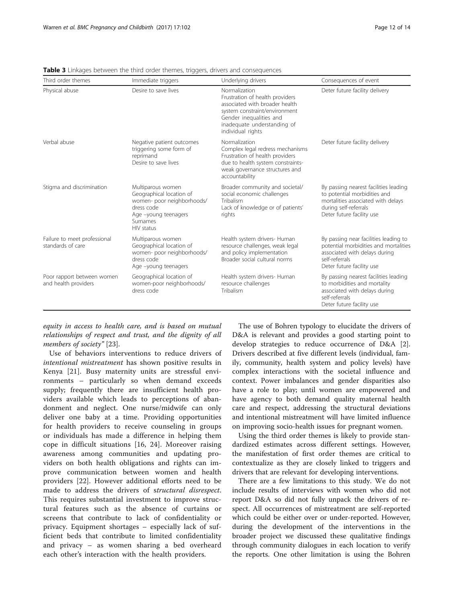| Third order themes                                 | Immediate triggers                                                                                                                          | Underlying drivers                                                                                                                                                                                 | Consequences of event                                                                                                                                             |
|----------------------------------------------------|---------------------------------------------------------------------------------------------------------------------------------------------|----------------------------------------------------------------------------------------------------------------------------------------------------------------------------------------------------|-------------------------------------------------------------------------------------------------------------------------------------------------------------------|
| Physical abuse                                     | Desire to save lives                                                                                                                        | Normalization<br>Frustration of health providers<br>associated with broader health<br>system constraint/environment<br>Gender inequalities and<br>inadequate understanding of<br>individual rights | Deter future facility delivery                                                                                                                                    |
| Verbal abuse                                       | Negative patient outcomes<br>triggering some form of<br>reprimand<br>Desire to save lives                                                   | Normalization<br>Complex legal redress mechanisms<br>Frustration of health providers<br>due to health system constraints-<br>weak governance structures and<br>accountability                      | Deter future facility delivery                                                                                                                                    |
| Stigma and discrimination                          | Multiparous women<br>Geographical location of<br>women- poor neighborhoods/<br>dress code<br>Age -young teenagers<br>Surnames<br>HIV status | Broader community and societal/<br>social economic challenges<br>Tribalism<br>Lack of knowledge or of patients'<br>rights                                                                          | By passing nearest facilities leading<br>to potential morbidities and<br>mortalities associated with delays<br>during self-referrals<br>Deter future facility use |
| Failure to meet professional<br>standards of care  | Multiparous women<br>Geographical location of<br>women- poor neighborhoods/<br>dress code<br>Age -young teenagers                           | Health system drivers- Human<br>resource challenges, weak legal<br>and policy implementation<br>Broader social cultural norms                                                                      | By passing near facilities leading to<br>potential morbidities and mortalities<br>associated with delays during<br>self-referrals<br>Deter future facility use    |
| Poor rapport between women<br>and health providers | Geographical location of<br>women-poor neighborhoods/<br>dress code                                                                         | Health system drivers- Human<br>resource challenges<br>Tribalism                                                                                                                                   | By passing nearest facilities leading<br>to morbidities and mortality<br>associated with delays during<br>self-referrals<br>Deter future facility use             |

<span id="page-11-0"></span>**Table 3** Linkages between the third order themes, triggers, drivers and consequences

equity in access to health care, and is based on mutual relationships of respect and trust, and the dignity of all members of society" [\[23](#page-13-0)].

Use of behaviors interventions to reduce drivers of intentional mistreatment has shown positive results in Kenya [\[21](#page-13-0)]. Busy maternity units are stressful environments – particularly so when demand exceeds supply; frequently there are insufficient health providers available which leads to perceptions of abandonment and neglect. One nurse/midwife can only deliver one baby at a time. Providing opportunities for health providers to receive counseling in groups or individuals has made a difference in helping them cope in difficult situations [[16, 24\]](#page-13-0). Moreover raising awareness among communities and updating providers on both health obligations and rights can improve communication between women and health providers [[22\]](#page-13-0). However additional efforts need to be made to address the drivers of structural disrespect. This requires substantial investment to improve structural features such as the absence of curtains or screens that contribute to lack of confidentiality or privacy. Equipment shortages – especially lack of sufficient beds that contribute to limited confidentiality and privacy – as women sharing a bed overheard each other's interaction with the health providers.

The use of Bohren typology to elucidate the drivers of D&A is relevant and provides a good starting point to develop strategies to reduce occurrence of D&A [\[2](#page-12-0)]. Drivers described at five different levels (individual, family, community, health system and policy levels) have complex interactions with the societal influence and context. Power imbalances and gender disparities also have a role to play; until women are empowered and have agency to both demand quality maternal health care and respect, addressing the structural deviations and intentional mistreatment will have limited influence on improving socio-health issues for pregnant women.

Using the third order themes is likely to provide standardized estimates across different settings. However, the manifestation of first order themes are critical to contextualize as they are closely linked to triggers and drivers that are relevant for developing interventions.

There are a few limitations to this study. We do not include results of interviews with women who did not report D&A so did not fully unpack the drivers of respect. All occurrences of mistreatment are self-reported which could be either over or under-reported. However, during the development of the interventions in the broader project we discussed these qualitative findings through community dialogues in each location to verify the reports. One other limitation is using the Bohren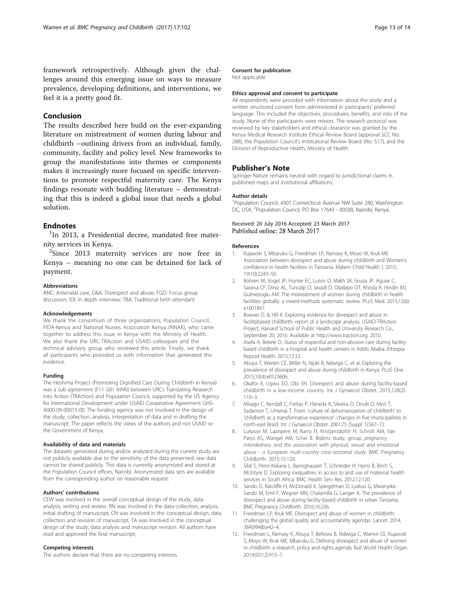<span id="page-12-0"></span>framework retrospectively. Although given the challenges around this emerging issue on ways to measure prevalence, developing definitions, and interventions, we feel it is a pretty good fit.

## Conclusion

The results described here build on the ever-expanding literature on mistreatment of women during labour and childbirth –outlining drivers from an individual, family, community, facility and policy level. New frameworks to group the manifestations into themes or components makes it increasingly more focused on specific interventions to promote respectful maternity care. The Kenya findings resonate with budding literature – demonstrating that this is indeed a global issue that needs a global solution.

## **Endnotes**

<sup>1</sup>In 2013, a Presidential decree, mandated free maternity services in Kenya. <sup>2</sup>

 $2$ Since 2013 maternity services are now free in Kenya – meaning no one can be detained for lack of payment.

#### Abbreviations

ANC: Antenatal care; D&A: Disrespect and abuse; FGD: Focus group discussion; IDI: In depth interview; TBA: Traditional birth attendant

#### Acknowledgements

We thank the consortium of three organizations; Population Council, FIDA-Kenya and National Nurses Association Kenya (NNAK), who came together to address this issue in Kenya with the Ministry of Health. We also thank the URC-TRAction and USAID colleagues and the technical advisory group who reviewed this article. Finally, we thank all participants who provided us with information that generated this evidence.

#### Funding

The Heshima Project (Promoting Dignified Care During Childbirth in Kenya) was a sub agreement (F11 G01 6990) between URCs Translating Research into Action (TRAction) and Population Council, supported by the US Agency for International Development under USAID Cooperative Agreement GHS-A000-09-00015-00. The funding agency was not involved in the design of the study, collection, analysis, interpretation of data and in drafting the manuscript. The paper reflects the views of the authors and not USAID or the Government of Kenya.

#### Availability of data and materials

The datasets generated during and/or analyzed during the current study are not publicly available due to the sensitivity of the data presented, raw data cannot be shared publicly. This data is currently anonymized and stored at the Population Council offices, Nairobi. Anonymized data sets are available from the corresponding author on reasonable request.

#### Authors' contributions

CEW was involved in the overall conceptual design of the study, data analysis, writing and review. RN was involved in the data collection, analysis, initial drafting of manuscript, CN was involved in the conceptual design, data collection and revision of manuscript, TA was involved in the conceptual design of the study, data analysis and manuscript revision. All authors have read and approved the final manuscript.

#### Competing interests

The authors declare that there are no competing interests.

#### Consent for publication

Not applicable

#### Ethics approval and consent to participate

All respondents were provided with information about the study and a written structured consent form administered in participants' preferred language. This included the objectives, procedures, benefits, and risks of the study. None of the participants were minors. The research protocol was reviewed by key stakeholders and ethical clearance was granted by the Kenya Medical Research Institute Ethical Review Board (approval SCC No: 288), the Population Council's Institutional Review Board (No: 517), and the Division of Reproductive Health, Ministry of Health.

#### Publisher's Note

Springer Nature remains neutral with regard to jurisdictional claims in published maps and institutional affiliations.

#### Author details

<sup>1</sup>Population Council, 4301 Connecticut Avenue NW Suite 280, Washington DC, USA. <sup>2</sup>Population Council, PO Box 17643 - 00500, Nairobi, Kenya.

#### Received: 20 July 2016 Accepted: 23 March 2017 Published online: 28 March 2017

#### References

- 1. Kujawski S, Mbaruku G, Freedman LP, Ramsey K, Moyo W, Kruk ME. Association between disrespect and abuse during childbirth and Women's confidence in health facilities in Tanzania. Matern Child Health J. 2015; 19(10):2243–50.
- 2. Bohren M, Vogel JP, Hunter EC, Lutsiv O, Makh SK, Souza JP, Aguiar C, Saraiva CF, Diniz AL, Tuncalp O, Javadi D, Oladapo OT, Khosla R, Hindin MJ, Gulmezoglu AM. The mistreatment of women during childbirth in health facilities globally: a mixed-methods systematic review. PLoS Med. 2015;12(6): e1001847.
- 3. Bowser D. & Hill K. Exploring evidence for disrespect and abuse in facilitybased childbirth: report of a landscape analysis. USAID-TRAction Project, Harvard School of Public Health and University Research Co., September 20, 2010. Available at [http://www.traction.org.](http://www.traction.org) 2010.
- 4. Asefa A, Bekele D. Status of respectful and non-abusive care during facilitybased childbirth in a hospital and health centers in Addis Ababa. Ethiopia Reprod Health. 2015;12:33.
- 5. Abuya T, Warren CE, Miller N, Njuki R, Ndwiga C, et al. Exploring the prevalence of disrespect and abuse during childbirth in Kenya. PLoS One. 2015;10(4):e0123606.
- 6. Okafor II, Ugwu EO, Obi SN. Disrespect and abuse during facility-based childbirth in a low-income country. Int J Gynaecol Obstet. 2015;128(2):  $110 - 3$
- 7. Misago C, Kendall C, Freitas P, Haneda K, Silveira D, Onuki D, Mori T, Sadamori T, Umenai T. From 'culture of dehumanization of childbirth' to 'childbirth as a transformative experience': changes in five municipalities in north-east Brazil. Int J Gynaecol Obstet. 2001;75 (Suppl 1):S67–72.
- 8. Lukasse M, Laanpere M, Karro H, Kristjansdottir H, Schroll AM, Van Parys AS, Wangel AM, Schei B. Bidens study, group, pregnancy intendedness and the association with physical, sexual and emotional abuse - a European multi-country cross-sectional study. BMC Pregnancy Childbirth. 2015;15:120.
- 9. Silal S, Penn-Kekana L, Barnighausen T, Schneider H, Harris B, Birch S, McIntyre D. Exploring inequalities in access to and use of maternal health services in South Africa. BMC Health Serv Res. 2012;12:120.
- 10. Sando D, Ratcliffe H, McDonald K, Spiegelman D, Lyatuu G, Mwanyika-Sando M, Emil F, Wegner MN, Chalamilla G, Langer A. The prevalence of disrespect and abuse during facility-based childbirth in urban Tanzania. BMC Pregnancy Childbirth. 2016;16:236.
- 11. Freedman LP, Kruk ME. Disrespect and abuse of women in childbirth: challenging the global quality and accountability agendas. Lancet. 2014; 384(9948):e42–4.
- 12. Freedman L, Ramsey K, Abuya T, Bellows B, Ndwiga C, Warren CE, Kujawski S, Moyo W, Kruk ME, Mbaruku G. Defining disrespect and abuse of women in childbirth: a research, policy and rights agenda. Bull World Health Organ. 2014;92(12):915–7.